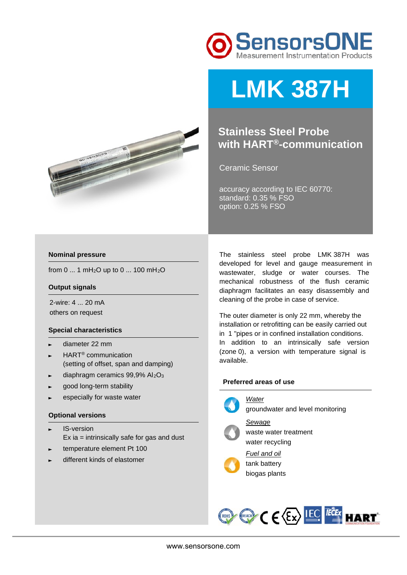



# **LMK 387H**

### **Stainless Steel Probe with HART®-communication**

Ceramic Sensor

accuracy according to IEC 60770: standard: 0.35 % FSO option: 0.25 % FSO

#### **Nominal pressure**

from 0 ... 1 mH2O up to 0 ... 100 mH2O

#### **Output signals**

2-wire: 4 ... 20 mA others on request

#### **Special characteristics**

- ► diameter 22 mm
- ► HART® communication (setting of offset, span and damping)
- diaphragm ceramics 99,9% Al<sub>2</sub>O<sub>3</sub>
- good long-term stability
- especially for waste water

#### **Optional versions**

- ► IS-version Ex  $ia =$  intrinsically safe for gas and dust
- temperature element Pt 100
- different kinds of elastomer

The stainless steel probe LMK 387H was developed for level and gauge measurement in wastewater, sludge or water courses. The mechanical robustness of the flush ceramic diaphragm facilitates an easy disassembly and cleaning of the probe in case of service.

The outer diameter is only 22 mm, whereby the installation or retrofitting can be easily carried out in 1 "pipes or in confined installation conditions. In addition to an intrinsically safe version (zone 0), a version with temperature signal is available.

#### **Preferred areas of use**

#### *Water*



groundwater and level monitoring



*Sewage*  waste water treatment water recycling

*Fuel and oil*  tank battery biogas plants

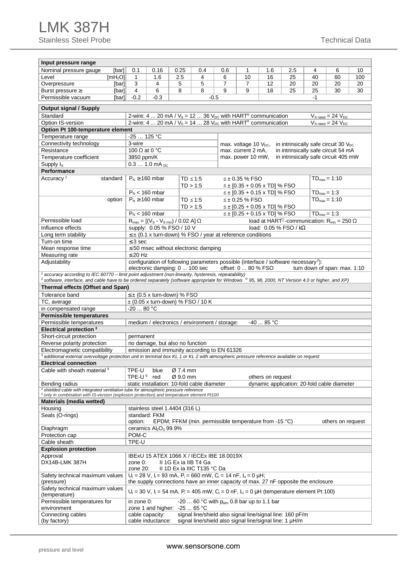## LMK 387H

Stainless Steel Probe Technical Data

| Input pressure range                                                                                                                                                                                                                                                     |                                                                                                 |                                                                                |                                              |                                                                                                                                                                 |                |                       |                                     |                                                                                        |                  |                                   |     |
|--------------------------------------------------------------------------------------------------------------------------------------------------------------------------------------------------------------------------------------------------------------------------|-------------------------------------------------------------------------------------------------|--------------------------------------------------------------------------------|----------------------------------------------|-----------------------------------------------------------------------------------------------------------------------------------------------------------------|----------------|-----------------------|-------------------------------------|----------------------------------------------------------------------------------------|------------------|-----------------------------------|-----|
| Nominal pressure gauge<br>[bar]                                                                                                                                                                                                                                          | 0.1                                                                                             | 0.16                                                                           | 0.25                                         | 0.4                                                                                                                                                             | 0.6            | 1                     | 1.6                                 | 2.5                                                                                    | 4                | 6                                 | 10  |
| Level<br>[mH <sub>2</sub> O]                                                                                                                                                                                                                                             | $\mathbf{1}$                                                                                    | 1.6                                                                            | 2.5                                          | 4                                                                                                                                                               | 6              | 10                    | 16                                  | 25                                                                                     | 40               | 60                                | 100 |
| Overpressure<br>[bar]                                                                                                                                                                                                                                                    | 3                                                                                               | 4                                                                              | 5                                            | 5                                                                                                                                                               | $\overline{7}$ | $\overline{7}$        | 12                                  | 20                                                                                     | 20               | 20                                | 20  |
| Burst pressure $\geq$<br>[bar]                                                                                                                                                                                                                                           | 4                                                                                               | 6                                                                              | 8                                            | 8                                                                                                                                                               | 9              | 9                     | 18                                  | 25                                                                                     | 25               | 30                                | 30  |
| Permissible vacuum<br>[bar]                                                                                                                                                                                                                                              | $-0.2$                                                                                          | $-0.3$                                                                         |                                              |                                                                                                                                                                 | $-0.5$         |                       |                                     |                                                                                        | $-1$             |                                   |     |
| <b>Output signal / Supply</b>                                                                                                                                                                                                                                            |                                                                                                 |                                                                                |                                              |                                                                                                                                                                 |                |                       |                                     |                                                                                        |                  |                                   |     |
| Standard                                                                                                                                                                                                                                                                 |                                                                                                 |                                                                                |                                              | 2-wire: 4  20 mA / $V_s$ = 12  36 $V_{DC}$ with HART <sup>®</sup> communication                                                                                 |                |                       |                                     |                                                                                        |                  | $V_{S \text{ rated}} = 24 V_{DC}$ |     |
| Option IS-version                                                                                                                                                                                                                                                        |                                                                                                 |                                                                                |                                              | 2-wire: 4  20 mA / $V_s$ = 14  28 $V_{DC}$ with HART <sup>®</sup> communication                                                                                 |                |                       |                                     |                                                                                        |                  | $V_{S \text{ rated}} = 24 V_{DC}$ |     |
| Option Pt 100-temperature element                                                                                                                                                                                                                                        |                                                                                                 |                                                                                |                                              |                                                                                                                                                                 |                |                       |                                     |                                                                                        |                  |                                   |     |
| Temperature range                                                                                                                                                                                                                                                        | $-25$ 125 °C                                                                                    |                                                                                |                                              |                                                                                                                                                                 |                |                       |                                     |                                                                                        |                  |                                   |     |
| Connectivity technology                                                                                                                                                                                                                                                  | 3-wire<br>max. voltage 10 $V_{\text{DC}}$ ,<br>in intrinsically safe circuit 30 $V_{\text{DC}}$ |                                                                                |                                              |                                                                                                                                                                 |                |                       |                                     |                                                                                        |                  |                                   |     |
| Resistance                                                                                                                                                                                                                                                               | max. current 2 mA,<br>in intrinsically safe circuit 54 mA<br>100 $\Omega$ at 0 °C               |                                                                                |                                              |                                                                                                                                                                 |                |                       |                                     |                                                                                        |                  |                                   |     |
| Temperature coefficient                                                                                                                                                                                                                                                  | in intrinsically safe circuit 405 mW<br>max. power 10 mW,<br>3850 ppm/K                         |                                                                                |                                              |                                                                                                                                                                 |                |                       |                                     |                                                                                        |                  |                                   |     |
| Supply $I_S$                                                                                                                                                                                                                                                             |                                                                                                 | $0.31.0$ mA <sub>pc</sub>                                                      |                                              |                                                                                                                                                                 |                |                       |                                     |                                                                                        |                  |                                   |     |
| Performance                                                                                                                                                                                                                                                              |                                                                                                 |                                                                                |                                              |                                                                                                                                                                 |                |                       |                                     |                                                                                        |                  |                                   |     |
| Accuracy <sup>1</sup><br>standard                                                                                                                                                                                                                                        |                                                                                                 | $P_N \ge 160$ mbar                                                             |                                              | $TD \leq 1:5$<br>TD > 1:5                                                                                                                                       |                | ≤± 0.35 % FSO         | $\leq \pm$ [0.35 + 0.05 x TD] % FSO |                                                                                        |                  | $TD_{max} = 1:10$                 |     |
|                                                                                                                                                                                                                                                                          |                                                                                                 | $P_N$ < 160 mbar                                                               |                                              |                                                                                                                                                                 |                |                       | $\leq \pm$ [0.35 + 0.15 x TD] % FSO |                                                                                        | $TD_{max} = 1:3$ |                                   |     |
| option                                                                                                                                                                                                                                                                   |                                                                                                 | $P_N \ge 160$ mbar                                                             |                                              | $TD \leq 1:5$                                                                                                                                                   |                | $\leq \pm 0.25$ % FSO |                                     |                                                                                        |                  | $TD_{max} = 1:10$                 |     |
|                                                                                                                                                                                                                                                                          |                                                                                                 |                                                                                |                                              | TD > 1:5                                                                                                                                                        |                |                       | $\leq \pm$ [0.25 + 0.05 x TD] % FSO |                                                                                        |                  |                                   |     |
|                                                                                                                                                                                                                                                                          |                                                                                                 | $P_N$ < 160 mbar                                                               |                                              |                                                                                                                                                                 |                |                       | $\leq \pm$ [0.25 + 0.15 x TD] % FSO |                                                                                        | $TD_{max} = 1:3$ |                                   |     |
| Permissible load                                                                                                                                                                                                                                                         |                                                                                                 | $R_{\text{max}} = [(V_{\text{S}} - V_{\text{S min}}) / 0.02 \text{ A}] \Omega$ |                                              |                                                                                                                                                                 |                |                       |                                     | load at HART <sup><math>0</math></sup> -communication: R <sub>min</sub> = 250 $\Omega$ |                  |                                   |     |
| Influence effects                                                                                                                                                                                                                                                        |                                                                                                 | supply: 0.05 % FSO / 10 V                                                      |                                              |                                                                                                                                                                 |                |                       |                                     | load: $0.05%$ FSO / kQ                                                                 |                  |                                   |     |
| Long term stability                                                                                                                                                                                                                                                      |                                                                                                 |                                                                                |                                              | $\leq$ $\pm$ (0.1 x turn-down) % FSO / year at reference conditions                                                                                             |                |                       |                                     |                                                                                        |                  |                                   |     |
| Turn-on time                                                                                                                                                                                                                                                             | $\leq$ 3 sec                                                                                    |                                                                                |                                              |                                                                                                                                                                 |                |                       |                                     |                                                                                        |                  |                                   |     |
| Mean response time                                                                                                                                                                                                                                                       |                                                                                                 |                                                                                |                                              | $\leq$ 50 msec without electronic damping                                                                                                                       |                |                       |                                     |                                                                                        |                  |                                   |     |
| Measuring rate                                                                                                                                                                                                                                                           | $\leq$ 20 Hz                                                                                    |                                                                                |                                              |                                                                                                                                                                 |                |                       |                                     |                                                                                        |                  |                                   |     |
| Adjustability                                                                                                                                                                                                                                                            |                                                                                                 |                                                                                |                                              | configuration of following parameters possible (interface / software necessary <sup>2</sup> ):                                                                  |                |                       |                                     |                                                                                        |                  |                                   |     |
|                                                                                                                                                                                                                                                                          |                                                                                                 | electronic damping: 0  100 sec                                                 |                                              |                                                                                                                                                                 |                | offset: 0  80 % FSO   |                                     |                                                                                        |                  | turn down of span: max. 1:10      |     |
| $1$ accuracy according to IEC 60770 – limit point adjustment (non-linearity, hysteresis, repeatability)<br><sup>2</sup> software, interface, and cable have to be ordered separately (software appropriate for Windows ® 95, 98, 2000, NT Version 4.0 or higher, and XP) |                                                                                                 |                                                                                |                                              |                                                                                                                                                                 |                |                       |                                     |                                                                                        |                  |                                   |     |
| Thermal effects (Offset and Span)                                                                                                                                                                                                                                        |                                                                                                 |                                                                                |                                              |                                                                                                                                                                 |                |                       |                                     |                                                                                        |                  |                                   |     |
| Tolerance band                                                                                                                                                                                                                                                           |                                                                                                 | $\leq$ $\pm$ (0.5 x turn-down) % FSO                                           |                                              |                                                                                                                                                                 |                |                       |                                     |                                                                                        |                  |                                   |     |
| TC, average                                                                                                                                                                                                                                                              |                                                                                                 |                                                                                |                                              | $\pm$ (0.05 x turn-down) % FSO / 10 K                                                                                                                           |                |                       |                                     |                                                                                        |                  |                                   |     |
| in compensated range                                                                                                                                                                                                                                                     | $-2080 °C$                                                                                      |                                                                                |                                              |                                                                                                                                                                 |                |                       |                                     |                                                                                        |                  |                                   |     |
| <b>Permissible temperatures</b>                                                                                                                                                                                                                                          |                                                                                                 |                                                                                |                                              |                                                                                                                                                                 |                |                       |                                     |                                                                                        |                  |                                   |     |
| Permissible temperatures                                                                                                                                                                                                                                                 |                                                                                                 |                                                                                |                                              | medium / electronics / environment / storage:                                                                                                                   |                |                       | $-40$ 85 °C                         |                                                                                        |                  |                                   |     |
| Electrical protection <sup>3</sup>                                                                                                                                                                                                                                       |                                                                                                 |                                                                                |                                              |                                                                                                                                                                 |                |                       |                                     |                                                                                        |                  |                                   |     |
| Short-circuit protection                                                                                                                                                                                                                                                 | permanent                                                                                       |                                                                                |                                              |                                                                                                                                                                 |                |                       |                                     |                                                                                        |                  |                                   |     |
| Reverse polarity protection                                                                                                                                                                                                                                              | no damage, but also no function                                                                 |                                                                                |                                              |                                                                                                                                                                 |                |                       |                                     |                                                                                        |                  |                                   |     |
| Electromagnetic compatibility                                                                                                                                                                                                                                            |                                                                                                 |                                                                                |                                              | emission and immunity according to EN 61326                                                                                                                     |                |                       |                                     |                                                                                        |                  |                                   |     |
| <sup>3</sup> additional external overvoltage protection unit in terminal box KL 1 or KL 2 with atmospheric pressure reference available on request                                                                                                                       |                                                                                                 |                                                                                |                                              |                                                                                                                                                                 |                |                       |                                     |                                                                                        |                  |                                   |     |
| <b>Electrical connection</b><br>Cable with sheath material 4                                                                                                                                                                                                             |                                                                                                 |                                                                                |                                              |                                                                                                                                                                 |                |                       |                                     |                                                                                        |                  |                                   |     |
|                                                                                                                                                                                                                                                                          | TPE-U<br>TPE-U $5$                                                                              | blue<br>red                                                                    | $\varnothing$ 7.4 mm<br>$\varnothing$ 9.0 mm |                                                                                                                                                                 |                |                       | others on request                   |                                                                                        |                  |                                   |     |
| Bending radius                                                                                                                                                                                                                                                           |                                                                                                 |                                                                                |                                              | static installation: 10-fold cable diameter                                                                                                                     |                |                       |                                     | dynamic application: 20-fold cable diameter                                            |                  |                                   |     |
| <sup>4</sup> shielded cable with integrated ventilation tube for atmospheric pressure reference                                                                                                                                                                          |                                                                                                 |                                                                                |                                              |                                                                                                                                                                 |                |                       |                                     |                                                                                        |                  |                                   |     |
| $5$ only in combination with IS-version (explosion protection) and temperature element Pt100                                                                                                                                                                             |                                                                                                 |                                                                                |                                              |                                                                                                                                                                 |                |                       |                                     |                                                                                        |                  |                                   |     |
| Materials (media wetted)                                                                                                                                                                                                                                                 |                                                                                                 |                                                                                |                                              |                                                                                                                                                                 |                |                       |                                     |                                                                                        |                  |                                   |     |
| Housing                                                                                                                                                                                                                                                                  |                                                                                                 | stainless steel 1.4404 (316 L)                                                 |                                              |                                                                                                                                                                 |                |                       |                                     |                                                                                        |                  |                                   |     |
| Seals (O-rings)                                                                                                                                                                                                                                                          | option:                                                                                         | standard: FKM                                                                  |                                              | EPDM; FFKM (min. permissible temperature from -15 °C)                                                                                                           |                |                       |                                     |                                                                                        |                  | others on request                 |     |
| Diaphragm                                                                                                                                                                                                                                                                |                                                                                                 | ceramics $Al_2O_3$ 99.9%                                                       |                                              |                                                                                                                                                                 |                |                       |                                     |                                                                                        |                  |                                   |     |
| Protection cap                                                                                                                                                                                                                                                           | POM-C                                                                                           |                                                                                |                                              |                                                                                                                                                                 |                |                       |                                     |                                                                                        |                  |                                   |     |
| Cable sheath                                                                                                                                                                                                                                                             | TPE-U                                                                                           |                                                                                |                                              |                                                                                                                                                                 |                |                       |                                     |                                                                                        |                  |                                   |     |
| <b>Explosion protection</b>                                                                                                                                                                                                                                              |                                                                                                 |                                                                                |                                              |                                                                                                                                                                 |                |                       |                                     |                                                                                        |                  |                                   |     |
| Approval                                                                                                                                                                                                                                                                 |                                                                                                 |                                                                                |                                              | IBEXU 15 ATEX 1066 X / IECEX IBE 18.0019X                                                                                                                       |                |                       |                                     |                                                                                        |                  |                                   |     |
| DX14B-LMK 387H                                                                                                                                                                                                                                                           | zone 0:<br>zone 20:                                                                             |                                                                                |                                              | II 1G Ex ia IIB T4 Ga<br>II 1D Ex ia IIIC T135 °C Da                                                                                                            |                |                       |                                     |                                                                                        |                  |                                   |     |
| Safety technical maximum values<br>(pressure)                                                                                                                                                                                                                            |                                                                                                 |                                                                                |                                              | $U_i = 28$ V, $I_i = 93$ mA, $P_i = 660$ mW, $C_i = 14$ nF, $L_i = 0$ µH;<br>the supply connections have an inner capacity of max. 27 nF opposite the enclosure |                |                       |                                     |                                                                                        |                  |                                   |     |
| Safety technical maximum values<br>(temperature)                                                                                                                                                                                                                         |                                                                                                 |                                                                                |                                              | $U_i = 30$ V, $I_i = 54$ mA, $P_i = 405$ mW, $C_i = 0$ nF, $L_i = 0$ µH (temperature element Pt 100)                                                            |                |                       |                                     |                                                                                        |                  |                                   |     |
| Permissible temperatures for                                                                                                                                                                                                                                             | -20  60 °C with $p_{atm}$ 0.8 bar up to 1.1 bar<br>in zone 0:<br>zone 1 and higher: $-25$ 65 °C |                                                                                |                                              |                                                                                                                                                                 |                |                       |                                     |                                                                                        |                  |                                   |     |
| environment<br>Connecting cables                                                                                                                                                                                                                                         |                                                                                                 | cable capacity:                                                                |                                              | signal line/shield also signal line/signal line: 160 pF/m                                                                                                       |                |                       |                                     |                                                                                        |                  |                                   |     |
| (by factory)                                                                                                                                                                                                                                                             |                                                                                                 | cable inductance:                                                              |                                              | signal line/shield also signal line/signal line: 1 µH/m                                                                                                         |                |                       |                                     |                                                                                        |                  |                                   |     |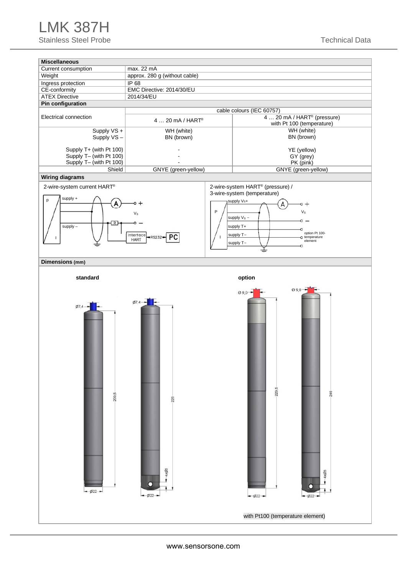## LMK 387H

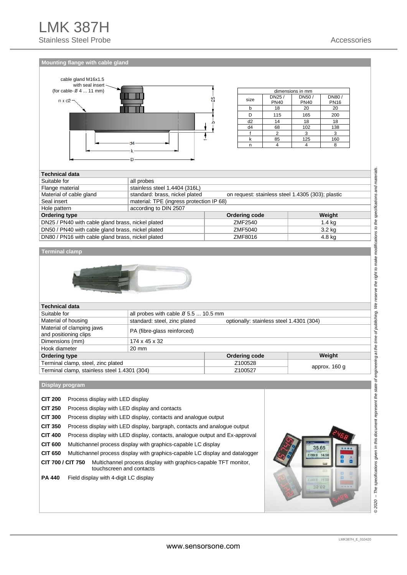**Mounting flange with cable gland** 



| dimensions in mm |             |             |             |  |  |
|------------------|-------------|-------------|-------------|--|--|
| size             | DN25/       | DN50/       | DN80/       |  |  |
|                  | <b>PN40</b> | <b>PN40</b> | <b>PN16</b> |  |  |
|                  | 18          | 20          | 20          |  |  |
|                  | 115         | 165         | 200         |  |  |
| d2               | 14          | 18          | 18          |  |  |
| d4               | 68          | 102         | 138         |  |  |
|                  | っ           |             | 3           |  |  |
|                  | 85          | 125         | 160         |  |  |
|                  |             |             |             |  |  |

#### **Technical data**  Suitable for all probes Flange material stainless steel 1.4404 (316L) Material of cable gland standard: brass, nickel plated on request: stainless steel 1.4305 (303); plastic<br>Seal insert material: TPE (incress protection IP 68) material: TPE (ingress protection IP 68) Hole pattern according to DIN 2507 **Ordering type Weight Conduct According type Weight Conduct According Code** Conducting Code Weight DN25 / PN40 with cable gland brass, nickel plated **ZMF2540** 2MF2540 1.4 kg DN50 / PN40 with cable gland brass, nickel plated  $\overline{XMS}$  2MF5040  $\overline{XMS}$  3.2 kg DN80 / PN16 with cable gland brass, nickel plated ZMF8016 ZMF8016 4.8 kg

#### **Terminal clamp**



| <b>Technical data</b>                              |                                            |                                          |               |
|----------------------------------------------------|--------------------------------------------|------------------------------------------|---------------|
| Suitable for                                       | all probes with cable $\beta$ 5.5  10.5 mm |                                          |               |
| Material of housing                                | standard: steel, zinc plated               | optionally: stainless steel 1.4301 (304) |               |
| Material of clamping jaws<br>and positioning clips | PA (fibre-glass reinforced)                |                                          |               |
| Dimensions (mm)                                    | 174 x 45 x 32                              |                                          |               |
| Hook diameter                                      | 20 mm                                      |                                          |               |
| Ordering type                                      |                                            | Ordering code                            | Weight        |
| Terminal clamp, steel, zinc plated                 |                                            | Z100528                                  |               |
| Terminal clamp, stainless steel 1.4301 (304)       |                                            | Z100527                                  | approx. 160 g |

#### **Display program**

| <b>CIT 200</b>    | Process display with LED display                                                            |  |
|-------------------|---------------------------------------------------------------------------------------------|--|
| <b>CIT 250</b>    | Process display with LED display and contacts                                               |  |
| <b>CIT 300</b>    | Process display with LED display, contacts and analogue output                              |  |
| <b>CIT 350</b>    | Process display with LED display, bargraph, contacts and analogue output                    |  |
| <b>CIT 400</b>    | Process display with LED display, contacts, analogue output and Ex-approval                 |  |
| <b>CIT 600</b>    | Multichannel process display with graphics-capable LC display                               |  |
| <b>CIT 650</b>    | Multichannel process display with graphics-capable LC display and datalogger                |  |
| CIT 700 / CIT 750 | Multichannel process display with graphics-capable TFT monitor,<br>touchscreen and contacts |  |
| <b>PA 440</b>     | Field display with 4-digit LC display                                                       |  |